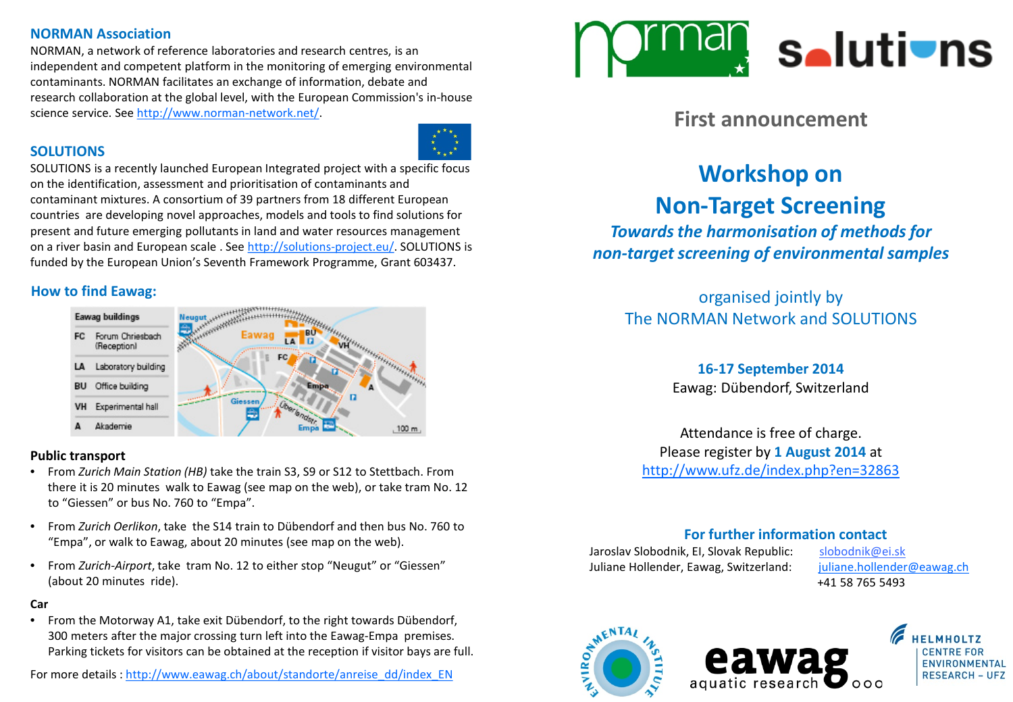## **NORMAN Association**

NORMAN, a network of reference laboratories and research centres, is an independent and competent platform in the monitoring of emerging environmental contaminants. NORMAN facilitates an exchange of information, debate and research collaboration at the global level, with the European Commission's in-house science service. See [http://www.norman-network.net/.](http://www.norman-network.net/)

## **SOLUTIONS**

SOLUTIONS is a recently launched European Integrated project with a specific focus on the identification, assessment and prioritisation of contaminants and contaminant mixtures. A consortium of 39 partners from 18 different European countries are developing novel approaches, models and tools to find solutions for present and future emerging pollutants in land and water resources management on a river basin and European scale . See <http://solutions-project.eu/>. SOLUTIONS is funded by the European Union's Seventh Framework Programme, Grant 603437.

## **How to find Eawag:**



#### **Public transport**

- From *Zurich Main Station (HB)* take the train S3, S9 or S12 to Stettbach. From there it is 20 minutes walk to Eawag (see map on the web), or take tram No. 12 to "Giessen" or bus No. 760 to "Empa".
- From *Zurich Oerlikon*, take the S14 train to Dübendorf and then bus No. 760 to "Empa", or walk to Eawag, about 20 minutes (see map on the web).
- From *Zurich-Airport*, take tram No. 12 to either stop "Neugut" or "Giessen" (about 20 minutes ride).

#### **Car**

• From the Motorway A1, take exit Dübendorf, to the right towards Dübendorf, 300 meters after the major crossing turn left into the Eawag-Empa premises. Parking tickets for visitors can be obtained at the reception if visitor bays are full.





## **First announcement**

# **Workshop on Non-Target Screening**

*Towards the harmonisation of methods for non-target screening of environmental samples*

organised jointly by The NORMAN Network and SOLUTIONS

## **16-17 September 2014**

Eawag: Dübendorf, Switzerland

Attendance is free of charge. Please register by **1 August 2014** at <http://www.ufz.de/index.php?en=32863>

## **For further information contact**

Jaroslav Slobodnik, EI, Slovak Republic: slobodnik@ei.sk Juliane Hollender, Eawag, Switzerland: [juliane.hollender@eawag.ch](mailto:juliane.hollender@eawag.ch)

+41 58 765 5493





**RESEARCH - UFZ**